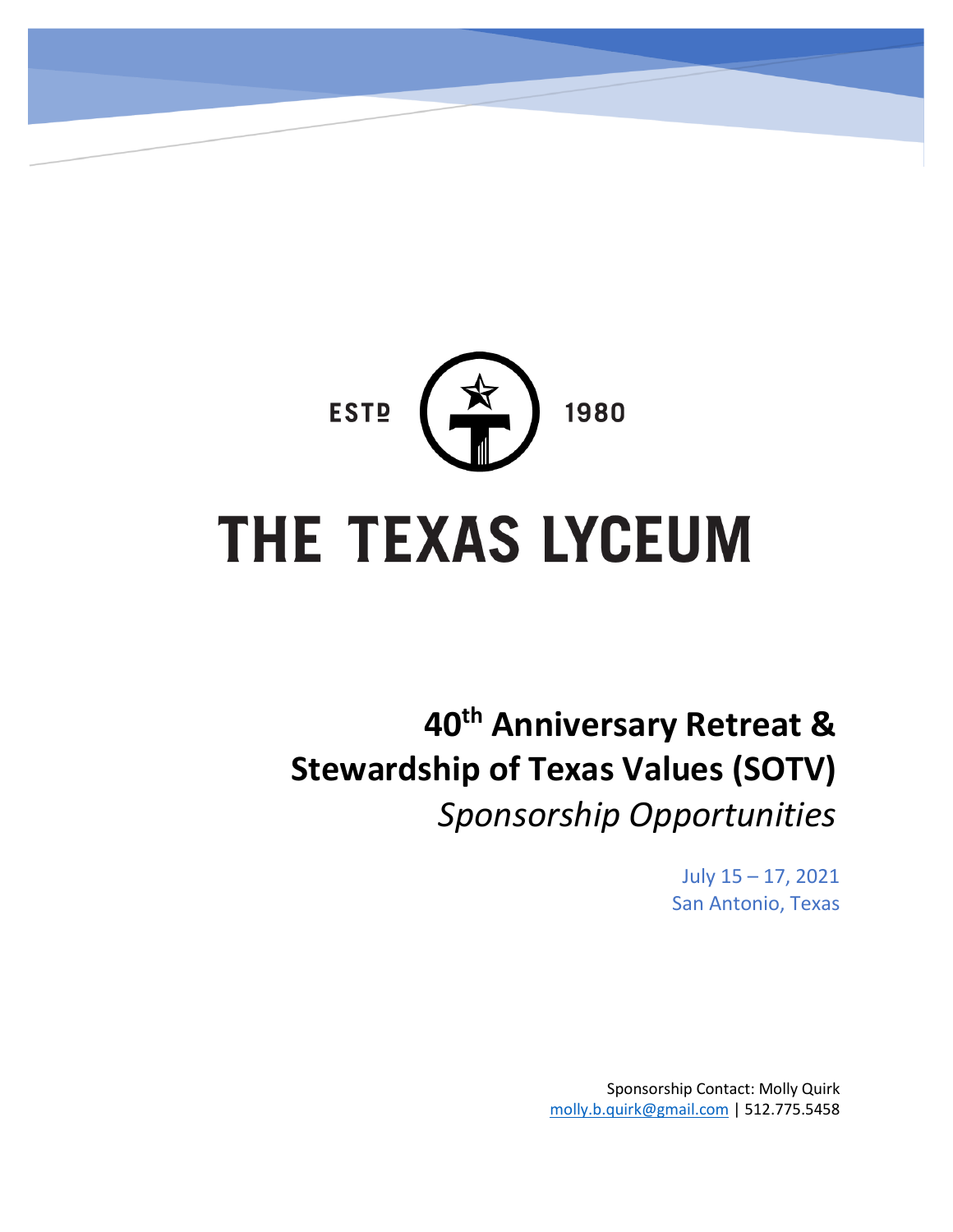

# **40th Anniversary Retreat & Stewardship of Texas Values (SOTV)** *Sponsorship Opportunities*

July 15 – 17, 2021 San Antonio, Texas

Sponsorship Contact: Molly Quirk [molly.b.quirk@gmail.com](mailto:molly.b.quirk@gmail.com) | 512.775.5458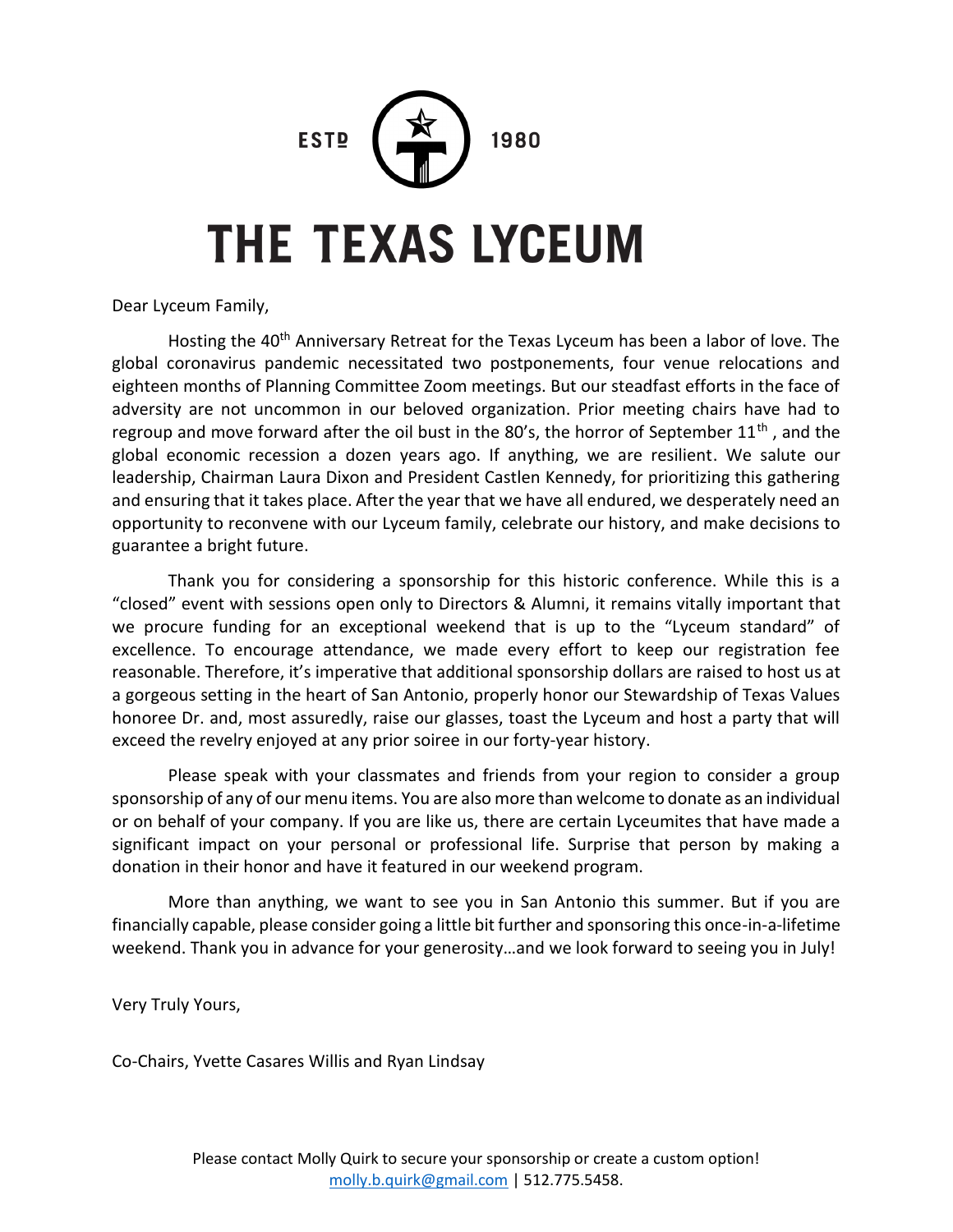1980

# **THE TEXAS LYCEUM**

**FSTD** 

Dear Lyceum Family,

Hosting the 40<sup>th</sup> Anniversary Retreat for the Texas Lyceum has been a labor of love. The global coronavirus pandemic necessitated two postponements, four venue relocations and eighteen months of Planning Committee Zoom meetings. But our steadfast efforts in the face of adversity are not uncommon in our beloved organization. Prior meeting chairs have had to regroup and move forward after the oil bust in the 80's, the horror of September  $11<sup>th</sup>$ , and the global economic recession a dozen years ago. If anything, we are resilient. We salute our leadership, Chairman Laura Dixon and President Castlen Kennedy, for prioritizing this gathering and ensuring that it takes place. After the year that we have all endured, we desperately need an opportunity to reconvene with our Lyceum family, celebrate our history, and make decisions to guarantee a bright future.

Thank you for considering a sponsorship for this historic conference. While this is a "closed" event with sessions open only to Directors & Alumni, it remains vitally important that we procure funding for an exceptional weekend that is up to the "Lyceum standard" of excellence. To encourage attendance, we made every effort to keep our registration fee reasonable. Therefore, it's imperative that additional sponsorship dollars are raised to host us at a gorgeous setting in the heart of San Antonio, properly honor our Stewardship of Texas Values honoree Dr. and, most assuredly, raise our glasses, toast the Lyceum and host a party that will exceed the revelry enjoyed at any prior soiree in our forty-year history.

Please speak with your classmates and friends from your region to consider a group sponsorship of any of our menu items. You are also more than welcome to donate as an individual or on behalf of your company. If you are like us, there are certain Lyceumites that have made a significant impact on your personal or professional life. Surprise that person by making a donation in their honor and have it featured in our weekend program.

More than anything, we want to see you in San Antonio this summer. But if you are financially capable, please consider going a little bit further and sponsoring this once-in-a-lifetime weekend. Thank you in advance for your generosity…and we look forward to seeing you in July!

Very Truly Yours,

Co-Chairs, Yvette Casares Willis and Ryan Lindsay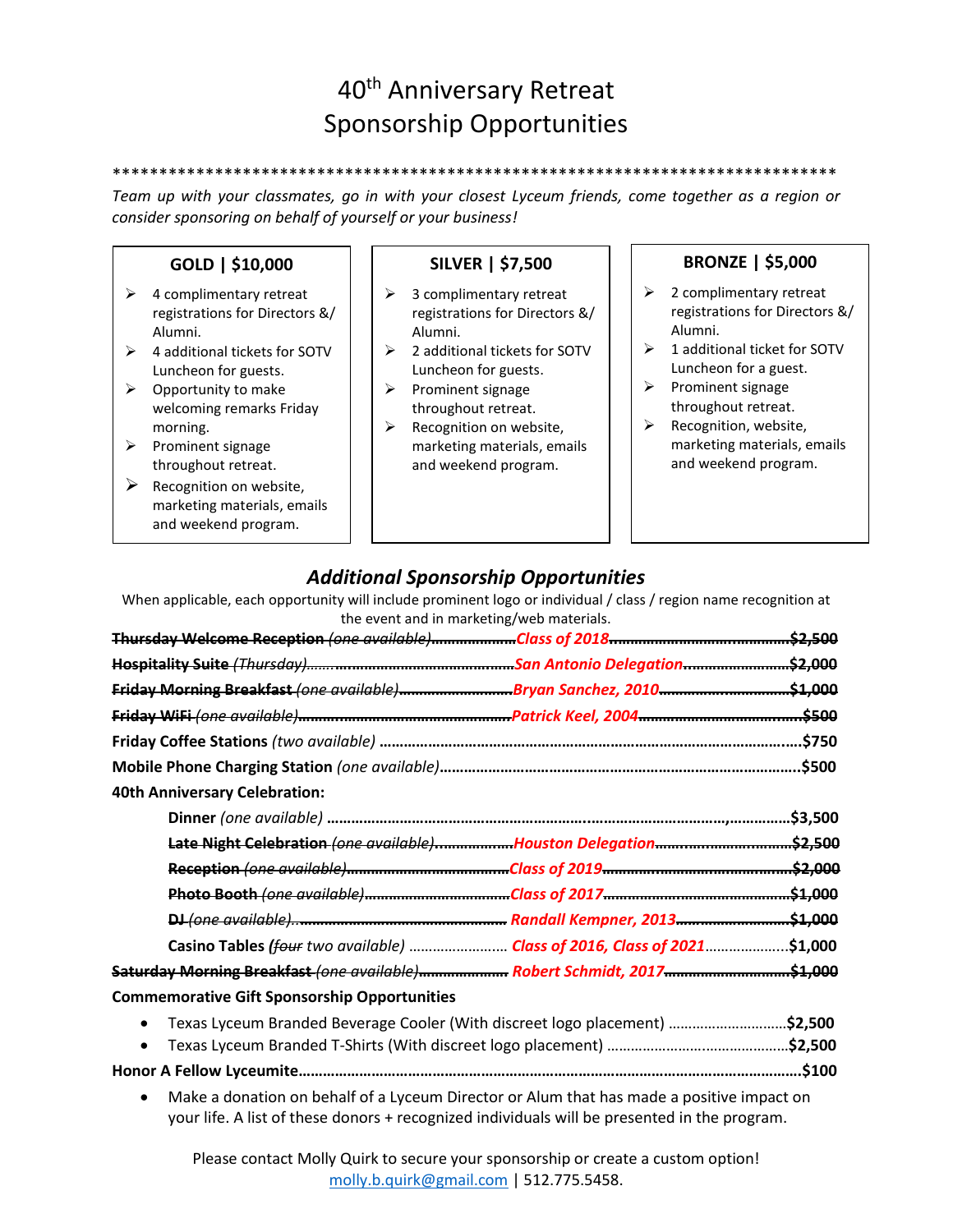# 40th Anniversary Retreat Sponsorship Opportunities

*Team up with your classmates, go in with your closest Lyceum friends, come together as a region or consider sponsoring on behalf of yourself or your business!*

\*\*\*\*\*\*\*\*\*\*\*\*\*\*\*\*\*\*\*\*\*\*\*\*\*\*\*\*\*\*\*\*\*\*\*\*\*\*\*\*\*\*\*\*\*\*\*\*\*\*\*\*\*\*\*\*\*\*\*\*\*\*\*\*\*\*\*\*\*\*\*\*\*\*\*\*\*\*

### **GOLD | \$10,000**

- $\triangleright$  4 complimentary retreat registrations for Directors &/ Alumni.
- ➢ 4 additional tickets for SOTV Luncheon for guests.
- $\triangleright$  Opportunity to make welcoming remarks Friday morning.
- ➢ Prominent signage throughout retreat.
- $\triangleright$  Recognition on website, marketing materials, emails and weekend program.

# **SILVER | \$7,500**

- $\geq$  3 complimentary retreat registrations for Directors &/ Alumni.
- ➢ 2 additional tickets for SOTV Luncheon for guests.
- ➢ Prominent signage throughout retreat.
- ➢ Recognition on website, marketing materials, emails and weekend program.

#### **BRONZE | \$5,000**

- $\geqslant$  2 complimentary retreat registrations for Directors &/ Alumni.
- $\geq 1$  additional ticket for SOTV Luncheon for a guest.
- ➢ Prominent signage throughout retreat.
- ➢ Recognition, website, marketing materials, emails and weekend program.

## *Additional Sponsorship Opportunities*

When applicable, each opportunity will include prominent logo or individual / class / region name recognition at the event and in marketing/web materials.

| Friday Morning Breakfast (one available)Bryan Sanchez, 2010\$1,000                       |  |         |
|------------------------------------------------------------------------------------------|--|---------|
|                                                                                          |  | \$500   |
|                                                                                          |  | .\$750  |
|                                                                                          |  |         |
| <b>40th Anniversary Celebration:</b>                                                     |  |         |
|                                                                                          |  |         |
| Late Night Celebration (one available) Houston Delegation \$2,500                        |  |         |
|                                                                                          |  | \$2,000 |
|                                                                                          |  |         |
|                                                                                          |  |         |
| Casino Tables (four two available)  Class of 2016, Class of 2021                         |  | .51,000 |
| Saturday Morning Breakfast (one available) Robert Schmidt, 2017\$1,000                   |  |         |
| <b>Commemorative Gift Sponsorship Opportunities</b>                                      |  |         |
| Texas Lyceum Branded Beverage Cooler (With discreet logo placement) \$2,500<br>$\bullet$ |  |         |
| $\bullet$                                                                                |  |         |

- **Honor A Fellow Lyceumite…………………………………………………………………………………………………………….\$100**
	- Make a donation on behalf of a Lyceum Director or Alum that has made a positive impact on your life. A list of these donors + recognized individuals will be presented in the program.